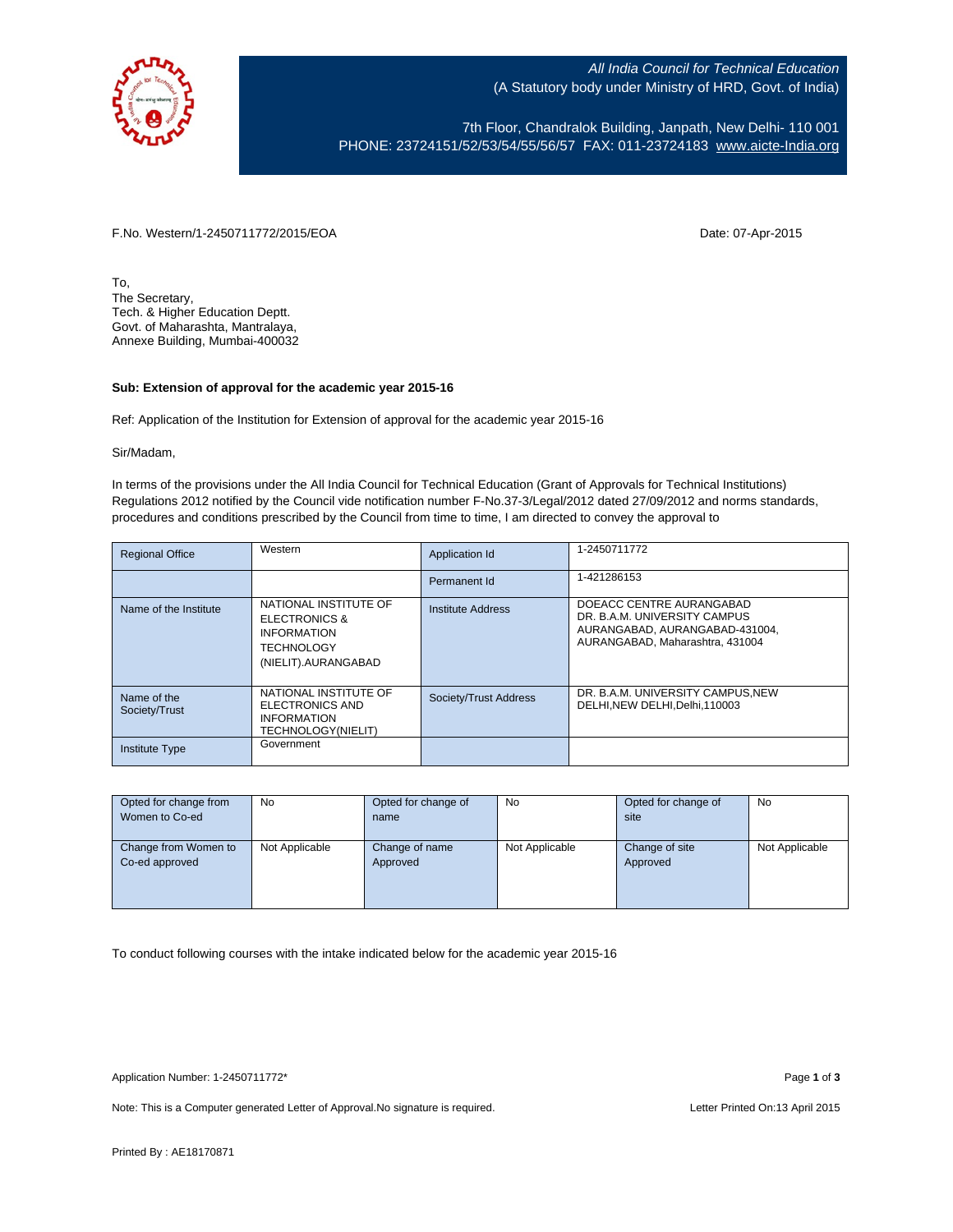

All India Council for Technical Education (A Statutory body under Ministry of HRD, Govt. of India)

7th Floor, Chandralok Building, Janpath, New Delhi- 110 001 PHONE: 23724151/52/53/54/55/56/57 FAX: 011-23724183 [www.aicte-India.org](http://www.aicte-india.org/)

F.No. Western/1-2450711772/2015/EOA Date: 07-Apr-2015

To, The Secretary, Tech. & Higher Education Deptt. Govt. of Maharashta, Mantralaya, Annexe Building, Mumbai-400032

## **Sub: Extension of approval for the academic year 2015-16**

Ref: Application of the Institution for Extension of approval for the academic year 2015-16

Sir/Madam,

In terms of the provisions under the All India Council for Technical Education (Grant of Approvals for Technical Institutions) Regulations 2012 notified by the Council vide notification number F-No.37-3/Legal/2012 dated 27/09/2012 and norms standards, procedures and conditions prescribed by the Council from time to time, I am directed to convey the approval to

| <b>Regional Office</b>       | Western                                                                                                             | Application Id        | 1-2450711772                                                                                                                  |
|------------------------------|---------------------------------------------------------------------------------------------------------------------|-----------------------|-------------------------------------------------------------------------------------------------------------------------------|
|                              |                                                                                                                     | Permanent Id          | 1-421286153                                                                                                                   |
| Name of the Institute        | NATIONAL INSTITUTE OF<br><b>ELECTRONICS &amp;</b><br><b>INFORMATION</b><br><b>TECHNOLOGY</b><br>(NIELIT).AURANGABAD | Institute Address     | DOEACC CENTRE AURANGABAD<br>DR. B.A.M. UNIVERSITY CAMPUS<br>AURANGABAD, AURANGABAD-431004.<br>AURANGABAD, Maharashtra, 431004 |
| Name of the<br>Society/Trust | NATIONAL INSTITUTE OF<br><b>ELECTRONICS AND</b><br><b>INFORMATION</b><br><b>TECHNOLOGY(NIELIT)</b>                  | Society/Trust Address | DR. B.A.M. UNIVERSITY CAMPUS.NEW<br>DELHI.NEW DELHI.Delhi.110003                                                              |
| <b>Institute Type</b>        | Government                                                                                                          |                       |                                                                                                                               |

| Opted for change from<br>Women to Co-ed | No             | Opted for change of<br>name | No             | Opted for change of<br>site | <b>No</b>      |
|-----------------------------------------|----------------|-----------------------------|----------------|-----------------------------|----------------|
|                                         |                |                             |                |                             |                |
| Change from Women to                    | Not Applicable | Change of name              | Not Applicable | Change of site              | Not Applicable |
| Co-ed approved                          |                | Approved                    |                | Approved                    |                |
|                                         |                |                             |                |                             |                |
|                                         |                |                             |                |                             |                |
|                                         |                |                             |                |                             |                |

To conduct following courses with the intake indicated below for the academic year 2015-16

Note: This is a Computer generated Letter of Approval. No signature is required. Letter Printed On:13 April 2015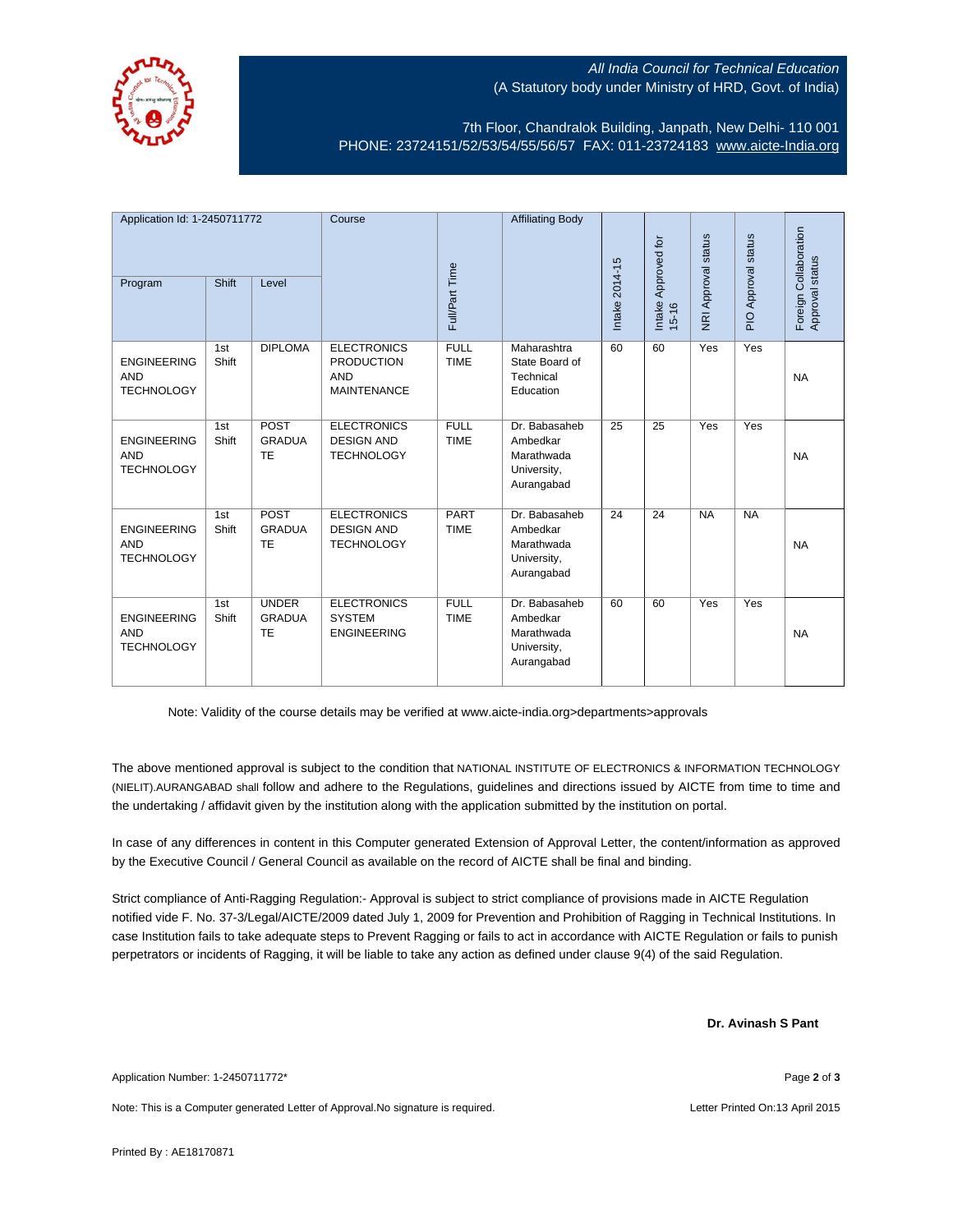

## All India Council for Technical Education (A Statutory body under Ministry of HRD, Govt. of India)

7th Floor, Chandralok Building, Janpath, New Delhi- 110 001 PHONE: 23724151/52/53/54/55/56/57 FAX: 011-23724183 [www.aicte-India.org](http://www.aicte-india.org/)

| Application Id: 1-2450711772<br>Shift<br>Program<br>Level |              | Course                                     |                                                                             | <b>Affiliating Body</b>    |                                                                      | Intake Approved for | NRI Approval status | PIO Approval status | Foreign Collaboration |                 |
|-----------------------------------------------------------|--------------|--------------------------------------------|-----------------------------------------------------------------------------|----------------------------|----------------------------------------------------------------------|---------------------|---------------------|---------------------|-----------------------|-----------------|
|                                                           |              |                                            |                                                                             | Full/Part Time             |                                                                      | Intake 2014-15      | $15 - 16$           |                     |                       | Approval status |
| <b>ENGINEERING</b><br><b>AND</b><br><b>TECHNOLOGY</b>     | 1st<br>Shift | <b>DIPLOMA</b>                             | <b>ELECTRONICS</b><br><b>PRODUCTION</b><br><b>AND</b><br><b>MAINTENANCE</b> | <b>FULL</b><br><b>TIME</b> | Maharashtra<br>State Board of<br>Technical<br>Education              | 60                  | 60                  | Yes                 | Yes                   | <b>NA</b>       |
| <b>ENGINEERING</b><br><b>AND</b><br><b>TECHNOLOGY</b>     | 1st<br>Shift | POST<br><b>GRADUA</b><br><b>TE</b>         | <b>ELECTRONICS</b><br><b>DESIGN AND</b><br><b>TECHNOLOGY</b>                | <b>FULL</b><br><b>TIME</b> | Dr. Babasaheb<br>Ambedkar<br>Marathwada<br>University,<br>Aurangabad | 25                  | 25                  | Yes                 | Yes                   | <b>NA</b>       |
| <b>ENGINEERING</b><br><b>AND</b><br><b>TECHNOLOGY</b>     | 1st<br>Shift | POST<br><b>GRADUA</b><br><b>TE</b>         | <b>ELECTRONICS</b><br><b>DESIGN AND</b><br><b>TECHNOLOGY</b>                | <b>PART</b><br><b>TIME</b> | Dr. Babasaheb<br>Ambedkar<br>Marathwada<br>University,<br>Aurangabad | 24                  | 24                  | <b>NA</b>           | <b>NA</b>             | <b>NA</b>       |
| <b>ENGINEERING</b><br><b>AND</b><br><b>TECHNOLOGY</b>     | 1st<br>Shift | <b>UNDER</b><br><b>GRADUA</b><br><b>TE</b> | <b>ELECTRONICS</b><br><b>SYSTEM</b><br><b>ENGINEERING</b>                   | <b>FULL</b><br><b>TIME</b> | Dr. Babasaheb<br>Ambedkar<br>Marathwada<br>University,<br>Aurangabad | 60                  | 60                  | Yes                 | Yes                   | <b>NA</b>       |

Note: Validity of the course details may be verified at www.aicte-india.org>departments>approvals

The above mentioned approval is subject to the condition that NATIONAL INSTITUTE OF ELECTRONICS & INFORMATION TECHNOLOGY (NIELIT).AURANGABAD shall follow and adhere to the Regulations, guidelines and directions issued by AICTE from time to time and the undertaking / affidavit given by the institution along with the application submitted by the institution on portal.

In case of any differences in content in this Computer generated Extension of Approval Letter, the content/information as approved by the Executive Council / General Council as available on the record of AICTE shall be final and binding.

Strict compliance of Anti-Ragging Regulation:- Approval is subject to strict compliance of provisions made in AICTE Regulation notified vide F. No. 37-3/Legal/AICTE/2009 dated July 1, 2009 for Prevention and Prohibition of Ragging in Technical Institutions. In case Institution fails to take adequate steps to Prevent Ragging or fails to act in accordance with AICTE Regulation or fails to punish perpetrators or incidents of Ragging, it will be liable to take any action as defined under clause 9(4) of the said Regulation.

 **Dr. Avinash S Pant**

Application Number: 1-2450711772\* Page **2** of **3**

Note: This is a Computer generated Letter of Approval.No signature is required. Letter According the state of the Letter Printed On:13 April 2015